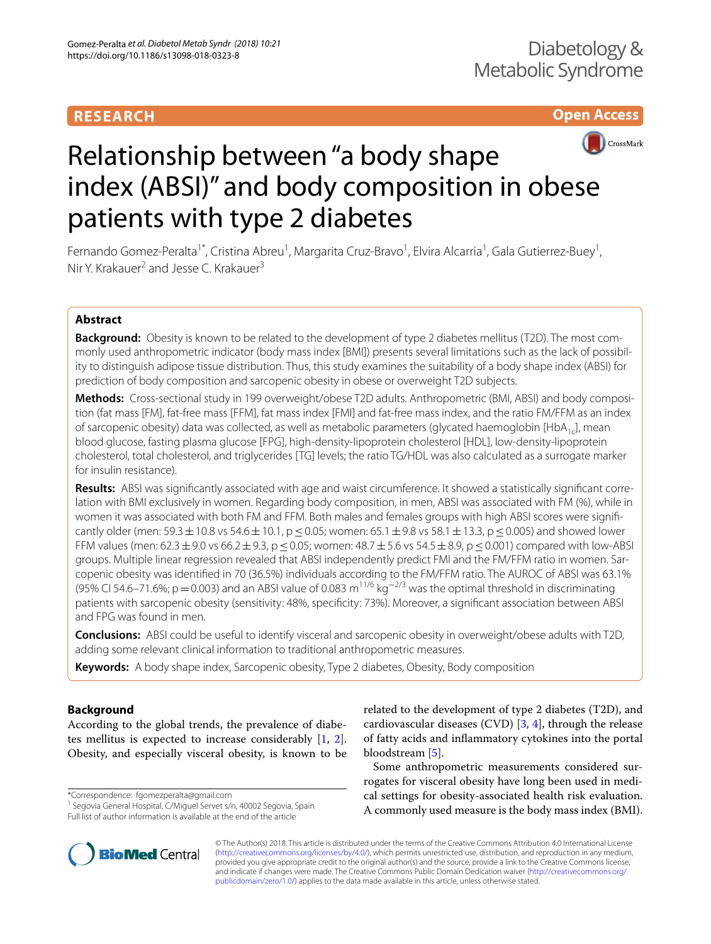# **RESEARCH**





# Relationship between"a body shape index (ABSI)" and body composition in obese patients with type 2 diabetes

Fernando Gomez-Peralta<sup>1\*</sup>, Cristina Abreu<sup>1</sup>, Margarita Cruz-Bravo<sup>1</sup>, Elvira Alcarria<sup>1</sup>, Gala Gutierrez-Buey<sup>1</sup>, Nir Y. Krakauer<sup>2</sup> and Jesse C. Krakauer<sup>3</sup>

# **Abstract**

**Background:** Obesity is known to be related to the development of type 2 diabetes mellitus (T2D). The most commonly used anthropometric indicator (body mass index [BMI]) presents several limitations such as the lack of possibility to distinguish adipose tissue distribution. Thus, this study examines the suitability of a body shape index (ABSI) for prediction of body composition and sarcopenic obesity in obese or overweight T2D subjects.

Methods: Cross-sectional study in 199 overweight/obese T2D adults. Anthropometric (BMI, ABSI) and body composition (fat mass [FM], fat-free mass [FFM], fat mass index [FMI] and fat-free mass index, and the ratio FM/FFM as an index of sarcopenic obesity) data was collected, as well as metabolic parameters (glycated haemoglobin [HbA<sub>1c</sub>], mean blood glucose, fasting plasma glucose [FPG], high-density-lipoprotein cholesterol [HDL], low-density-lipoprotein cholesterol, total cholesterol, and triglycerides [TG] levels; the ratio TG/HDL was also calculated as a surrogate marker for insulin resistance).

Results: ABSI was significantly associated with age and waist circumference. It showed a statistically significant correlation with BMI exclusively in women. Regarding body composition, in men, ABSI was associated with FM (%), while in women it was associated with both FM and FFM. Both males and females groups with high ABSI scores were significantly older (men:  $59.3 \pm 10.8$  vs  $54.6 \pm 10.1$ , p  $\leq$  0.05; women: 65.1  $\pm$  9.8 vs 58.1  $\pm$  13.3, p  $\leq$  0.005) and showed lower FFM values (men:  $62.3 \pm 9.0$  vs  $66.2 \pm 9.3$ , p  $\leq$  0.05; women:  $48.7 \pm 5.6$  vs  $54.5 \pm 8.9$ , p  $\leq$  0.001) compared with low-ABSI groups. Multiple linear regression revealed that ABSI independently predict FMI and the FM/FFM ratio in women. Sarcopenic obesity was identifed in 70 (36.5%) individuals according to the FM/FFM ratio. The AUROC of ABSI was 63.1% (95% CI 54.6–71.6%; p=0.003) and an ABSI value of 0.083 m<sup>11/6</sup> kg<sup>-2/3</sup> was the optimal threshold in discriminating patients with sarcopenic obesity (sensitivity: 48%, specifcity: 73%). Moreover, a signifcant association between ABSI and FPG was found in men.

**Conclusions:** ABSI could be useful to identify visceral and sarcopenic obesity in overweight/obese adults with T2D, adding some relevant clinical information to traditional anthropometric measures.

**Keywords:** A body shape index, Sarcopenic obesity, Type 2 diabetes, Obesity, Body composition

# **Background**

According to the global trends, the prevalence of diabetes mellitus is expected to increase considerably [[1,](#page-6-0) [2](#page-6-1)]. Obesity, and especially visceral obesity, is known to be

\*Correspondence: fgomezperalta@gmail.com

<sup>1</sup> Segovia General Hospital, C/Miguel Servet s/n, 40002 Segovia, Spain Full list of author information is available at the end of the article

related to the development of type 2 diabetes (T2D), and cardiovascular diseases (CVD)  $[3, 4]$  $[3, 4]$  $[3, 4]$  $[3, 4]$ , through the release of fatty acids and infammatory cytokines into the portal bloodstream [[5\]](#page-6-4).

Some anthropometric measurements considered surrogates for visceral obesity have long been used in medical settings for obesity-associated health risk evaluation. A commonly used measure is the body mass index (BMI).



© The Author(s) 2018. This article is distributed under the terms of the Creative Commons Attribution 4.0 International License [\(http://creativecommons.org/licenses/by/4.0/\)](http://creativecommons.org/licenses/by/4.0/), which permits unrestricted use, distribution, and reproduction in any medium, provided you give appropriate credit to the original author(s) and the source, provide a link to the Creative Commons license, and indicate if changes were made. The Creative Commons Public Domain Dedication waiver ([http://creativecommons.org/](http://creativecommons.org/publicdomain/zero/1.0/) [publicdomain/zero/1.0/](http://creativecommons.org/publicdomain/zero/1.0/)) applies to the data made available in this article, unless otherwise stated.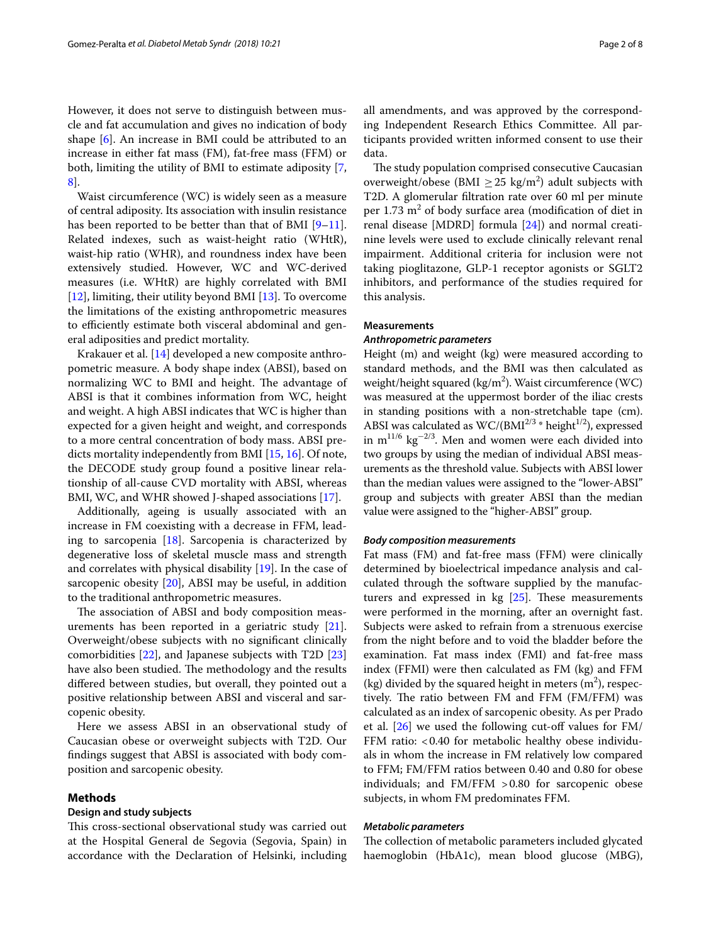However, it does not serve to distinguish between muscle and fat accumulation and gives no indication of body shape [[6](#page-6-5)]. An increase in BMI could be attributed to an increase in either fat mass (FM), fat-free mass (FFM) or both, limiting the utility of BMI to estimate adiposity [\[7](#page-6-6), [8\]](#page-6-7).

Waist circumference (WC) is widely seen as a measure of central adiposity. Its association with insulin resistance has been reported to be better than that of BMI [\[9](#page-6-8)[–11](#page-6-9)]. Related indexes, such as waist-height ratio (WHtR), waist-hip ratio (WHR), and roundness index have been extensively studied. However, WC and WC-derived measures (i.e. WHtR) are highly correlated with BMI [[12\]](#page-7-0), limiting, their utility beyond BMI [[13\]](#page-7-1). To overcome the limitations of the existing anthropometric measures to efficiently estimate both visceral abdominal and general adiposities and predict mortality.

Krakauer et al. [[14](#page-7-2)] developed a new composite anthropometric measure. A body shape index (ABSI), based on normalizing WC to BMI and height. The advantage of ABSI is that it combines information from WC, height and weight. A high ABSI indicates that WC is higher than expected for a given height and weight, and corresponds to a more central concentration of body mass. ABSI predicts mortality independently from BMI [\[15](#page-7-3), [16\]](#page-7-4). Of note, the DECODE study group found a positive linear relationship of all-cause CVD mortality with ABSI, whereas BMI, WC, and WHR showed J-shaped associations [[17\]](#page-7-5).

Additionally, ageing is usually associated with an increase in FM coexisting with a decrease in FFM, leading to sarcopenia [\[18](#page-7-6)]. Sarcopenia is characterized by degenerative loss of skeletal muscle mass and strength and correlates with physical disability [[19\]](#page-7-7). In the case of sarcopenic obesity [\[20](#page-7-8)], ABSI may be useful, in addition to the traditional anthropometric measures.

The association of ABSI and body composition measurements has been reported in a geriatric study [\[21](#page-7-9)]. Overweight/obese subjects with no signifcant clinically comorbidities [[22](#page-7-10)], and Japanese subjects with T2D [[23](#page-7-11)] have also been studied. The methodology and the results difered between studies, but overall, they pointed out a positive relationship between ABSI and visceral and sarcopenic obesity.

Here we assess ABSI in an observational study of Caucasian obese or overweight subjects with T2D. Our fndings suggest that ABSI is associated with body composition and sarcopenic obesity.

## **Methods**

# **Design and study subjects**

This cross-sectional observational study was carried out at the Hospital General de Segovia (Segovia, Spain) in accordance with the Declaration of Helsinki, including all amendments, and was approved by the corresponding Independent Research Ethics Committee. All participants provided written informed consent to use their data.

The study population comprised consecutive Caucasian overweight/obese (BMI  $\geq$  25 kg/m<sup>2</sup>) adult subjects with T2D. A glomerular fltration rate over 60 ml per minute per  $1.73 \text{ m}^2$  of body surface area (modification of diet in renal disease [MDRD] formula [\[24](#page-7-12)]) and normal creatinine levels were used to exclude clinically relevant renal impairment. Additional criteria for inclusion were not taking pioglitazone, GLP-1 receptor agonists or SGLT2 inhibitors, and performance of the studies required for this analysis.

#### **Measurements**

# *Anthropometric parameters*

Height (m) and weight (kg) were measured according to standard methods, and the BMI was then calculated as weight/height squared ( $\text{kg/m}^2$ ). Waist circumference (WC) was measured at the uppermost border of the iliac crests in standing positions with a non-stretchable tape (cm). ABSI was calculated as  $WC/(BMI^{2/3} * height^{1/2})$ , expressed in  $m^{11/6}$  kg<sup>-2/3</sup>. Men and women were each divided into two groups by using the median of individual ABSI measurements as the threshold value. Subjects with ABSI lower than the median values were assigned to the "lower-ABSI" group and subjects with greater ABSI than the median value were assigned to the "higher-ABSI" group.

## *Body composition measurements*

Fat mass (FM) and fat-free mass (FFM) were clinically determined by bioelectrical impedance analysis and calculated through the software supplied by the manufacturers and expressed in  $kg$   $[25]$  $[25]$ . These measurements were performed in the morning, after an overnight fast. Subjects were asked to refrain from a strenuous exercise from the night before and to void the bladder before the examination. Fat mass index (FMI) and fat-free mass index (FFMI) were then calculated as FM (kg) and FFM (kg) divided by the squared height in meters  $(m^2)$ , respectively. The ratio between FM and FFM (FM/FFM) was calculated as an index of sarcopenic obesity. As per Prado et al.  $[26]$  $[26]$  we used the following cut-off values for FM/ FFM ratio: <0.40 for metabolic healthy obese individuals in whom the increase in FM relatively low compared to FFM; FM/FFM ratios between 0.40 and 0.80 for obese individuals; and FM/FFM >0.80 for sarcopenic obese subjects, in whom FM predominates FFM.

# *Metabolic parameters*

The collection of metabolic parameters included glycated haemoglobin (HbA1c), mean blood glucose (MBG),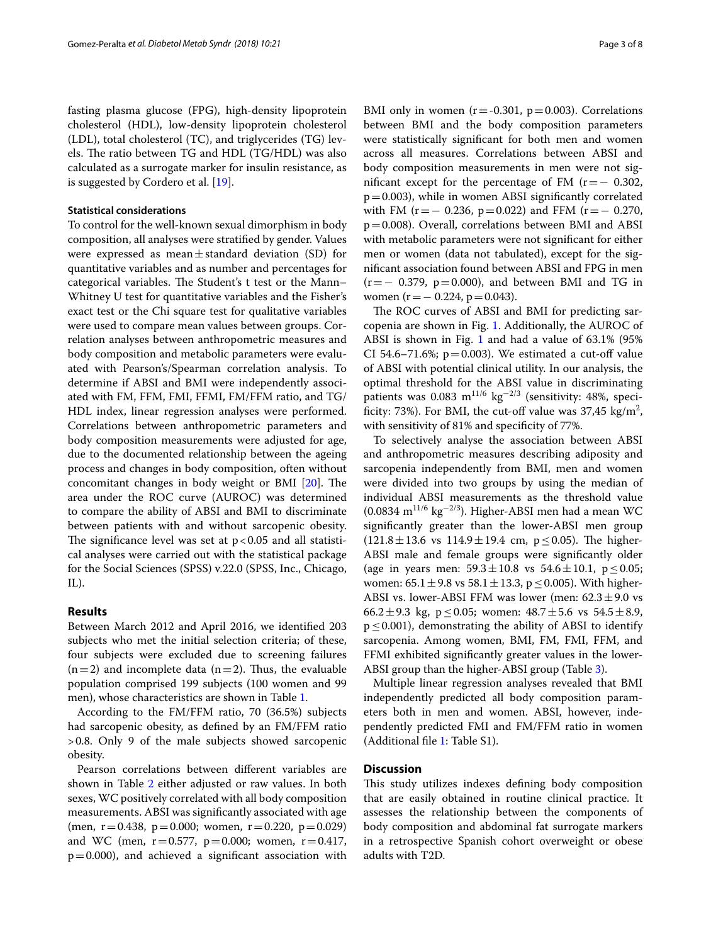fasting plasma glucose (FPG), high-density lipoprotein cholesterol (HDL), low-density lipoprotein cholesterol (LDL), total cholesterol (TC), and triglycerides (TG) levels. The ratio between TG and HDL (TG/HDL) was also calculated as a surrogate marker for insulin resistance, as is suggested by Cordero et al. [[19\]](#page-7-7).

## **Statistical considerations**

To control for the well-known sexual dimorphism in body composition, all analyses were stratifed by gender. Values were expressed as mean $\pm$ standard deviation (SD) for quantitative variables and as number and percentages for categorical variables. The Student's t test or the Mann– Whitney U test for quantitative variables and the Fisher's exact test or the Chi square test for qualitative variables were used to compare mean values between groups. Correlation analyses between anthropometric measures and body composition and metabolic parameters were evaluated with Pearson's/Spearman correlation analysis. To determine if ABSI and BMI were independently associated with FM, FFM, FMI, FFMI, FM/FFM ratio, and TG/ HDL index, linear regression analyses were performed. Correlations between anthropometric parameters and body composition measurements were adjusted for age, due to the documented relationship between the ageing process and changes in body composition, often without concomitant changes in body weight or BMI  $[20]$  $[20]$ . The area under the ROC curve (AUROC) was determined to compare the ability of ABSI and BMI to discriminate between patients with and without sarcopenic obesity. The significance level was set at  $p < 0.05$  and all statistical analyses were carried out with the statistical package for the Social Sciences (SPSS) v.22.0 (SPSS, Inc., Chicago, IL).

# **Results**

Between March 2012 and April 2016, we identifed 203 subjects who met the initial selection criteria; of these, four subjects were excluded due to screening failures  $(n=2)$  and incomplete data  $(n=2)$ . Thus, the evaluable population comprised 199 subjects (100 women and 99 men), whose characteristics are shown in Table [1.](#page-3-0)

According to the FM/FFM ratio, 70 (36.5%) subjects had sarcopenic obesity, as defned by an FM/FFM ratio >0.8. Only 9 of the male subjects showed sarcopenic obesity.

Pearson correlations between diferent variables are shown in Table [2](#page-4-0) either adjusted or raw values. In both sexes, WC positively correlated with all body composition measurements. ABSI was signifcantly associated with age (men,  $r = 0.438$ ,  $p = 0.000$ ; women,  $r = 0.220$ ,  $p = 0.029$ ) and WC (men,  $r = 0.577$ ,  $p = 0.000$ ; women,  $r = 0.417$ ,  $p=0.000$ ), and achieved a significant association with

BMI only in women  $(r = -0.301, p = 0.003)$ . Correlations between BMI and the body composition parameters were statistically signifcant for both men and women across all measures. Correlations between ABSI and body composition measurements in men were not significant except for the percentage of FM  $(r=-0.302,$  $p=0.003$ ), while in women ABSI significantly correlated with FM ( $r = -0.236$ ,  $p = 0.022$ ) and FFM ( $r = -0.270$ ,  $p=0.008$ ). Overall, correlations between BMI and ABSI with metabolic parameters were not signifcant for either men or women (data not tabulated), except for the signifcant association found between ABSI and FPG in men  $(r=- 0.379, p=0.000)$ , and between BMI and TG in women (r =  $-$  0.224, p = 0.043).

The ROC curves of ABSI and BMI for predicting sarcopenia are shown in Fig. [1](#page-5-0). Additionally, the AUROC of ABSI is shown in Fig. [1](#page-5-0) and had a value of 63.1% (95% CI 54.6–71.6%;  $p=0.003$ ). We estimated a cut-off value of ABSI with potential clinical utility. In our analysis, the optimal threshold for the ABSI value in discriminating patients was 0.083  $m^{11/6}$  kg<sup>-2/3</sup> (sensitivity: 48%, specificity: 73%). For BMI, the cut-off value was  $37,45 \text{ kg/m}^2$ , with sensitivity of 81% and specificity of 77%.

To selectively analyse the association between ABSI and anthropometric measures describing adiposity and sarcopenia independently from BMI, men and women were divided into two groups by using the median of individual ABSI measurements as the threshold value (0.0834 m<sup>11/6</sup> kg<sup>-2/3</sup>). Higher-ABSI men had a mean WC signifcantly greater than the lower-ABSI men group  $(121.8 \pm 13.6 \text{ vs } 114.9 \pm 19.4 \text{ cm}, \text{ p} \le 0.05)$ . The higher-ABSI male and female groups were signifcantly older (age in years men:  $59.3 \pm 10.8$  vs  $54.6 \pm 10.1$ ,  $p \le 0.05$ ; women:  $65.1 \pm 9.8$  vs  $58.1 \pm 13.3$ ,  $p \le 0.005$ ). With higher-ABSI vs. lower-ABSI FFM was lower (men:  $62.3 \pm 9.0$  vs 66.2 $\pm$ 9.3 kg, p  $\leq$  0.05; women: 48.7 $\pm$ 5.6 vs 54.5 $\pm$ 8.9,  $p \leq 0.001$ ), demonstrating the ability of ABSI to identify sarcopenia. Among women, BMI, FM, FMI, FFM, and FFMI exhibited signifcantly greater values in the lower-ABSI group than the higher-ABSI group (Table [3\)](#page-6-10).

Multiple linear regression analyses revealed that BMI independently predicted all body composition parameters both in men and women. ABSI, however, independently predicted FMI and FM/FFM ratio in women (Additional fle [1](#page-6-11): Table S1).

# **Discussion**

This study utilizes indexes defining body composition that are easily obtained in routine clinical practice. It assesses the relationship between the components of body composition and abdominal fat surrogate markers in a retrospective Spanish cohort overweight or obese adults with T2D.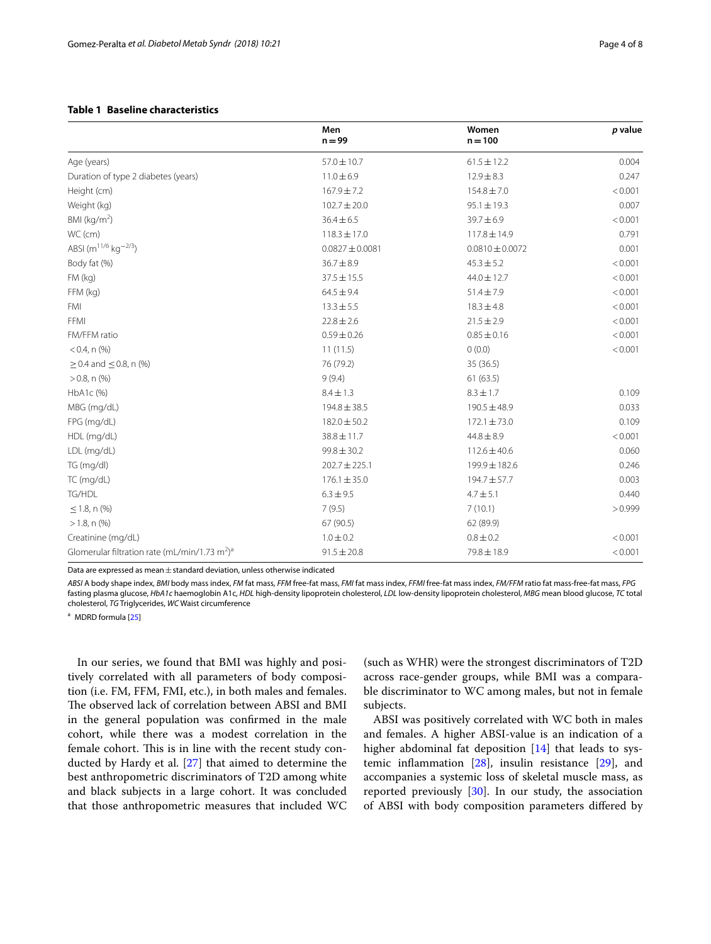# <span id="page-3-0"></span>**Table 1 Baseline characteristics**

|                                                                       | Men<br>$n = 99$     | Women<br>$n = 100$  | p value |
|-----------------------------------------------------------------------|---------------------|---------------------|---------|
| Age (years)                                                           | $57.0 \pm 10.7$     | $61.5 \pm 12.2$     | 0.004   |
| Duration of type 2 diabetes (years)                                   | $11.0 \pm 6.9$      | $12.9 \pm 8.3$      | 0.247   |
| Height (cm)                                                           | $167.9 \pm 7.2$     | $154.8 \pm 7.0$     | < 0.001 |
| Weight (kg)                                                           | $102.7 \pm 20.0$    | $95.1 \pm 19.3$     | 0.007   |
| BMI ( $\text{kg/m}^2$ )                                               | $36.4 \pm 6.5$      | 39.7±6.9            | < 0.001 |
| WC (cm)                                                               | $118.3 \pm 17.0$    | 117.8 ± 14.9        | 0.791   |
| ABSI (m <sup>11/6</sup> kg <sup>-2/3</sup> )                          | $0.0827 \pm 0.0081$ | $0.0810 \pm 0.0072$ | 0.001   |
| Body fat (%)                                                          | $36.7 \pm 8.9$      | $45.3 \pm 5.2$      | < 0.001 |
| FM (kg)                                                               | $37.5 \pm 15.5$     | $44.0 \pm 12.7$     | < 0.001 |
|                                                                       | $64.5 \pm 9.4$      | $51.4 \pm 7.9$      | < 0.001 |
| FFM (kg)<br>FMI                                                       | $13.3 \pm 5.5$      | $18.3 \pm 4.8$      |         |
| FFMI                                                                  |                     |                     | < 0.001 |
|                                                                       | $22.8 \pm 2.6$      | $21.5 \pm 2.9$      | < 0.001 |
| FM/FFM ratio                                                          | $0.59 \pm 0.26$     | $0.85 \pm 0.16$     | < 0.001 |
| $< 0.4$ , n $(\% )$                                                   | 11(11.5)            | 0(0.0)              | < 0.001 |
| $\geq$ 0.4 and $\leq$ 0.8, n (%)                                      | 76 (79.2)           | 35 (36.5)           |         |
| $> 0.8$ , n $(\%)$                                                    | 9(9.4)              | 61(63.5)            |         |
| HbA1c (%)                                                             | $8.4 \pm 1.3$       | $8.3 \pm 1.7$       | 0.109   |
| MBG (mg/dL)                                                           | $194.8 \pm 38.5$    | $190.5 \pm 48.9$    | 0.033   |
| FPG (mg/dL)                                                           | $182.0 \pm 50.2$    | $172.1 \pm 73.0$    | 0.109   |
| HDL (mg/dL)                                                           | $38.8 \pm 11.7$     | $44.8 \pm 8.9$      | < 0.001 |
| LDL (mg/dL)                                                           | $99.8 \pm 30.2$     | $112.6 \pm 40.6$    | 0.060   |
| TG (mg/dl)                                                            | $202.7 \pm 225.1$   | 199.9±182.6         | 0.246   |
| TC (mg/dL)                                                            | $176.1 \pm 35.0$    | 194.7±57.7          | 0.003   |
| TG/HDL                                                                | $6.3 \pm 9.5$       | $4.7 \pm 5.1$       | 0.440   |
| $\leq$ 1.8, n (%)                                                     | 7(9.5)              | 7(10.1)             | > 0.999 |
| $>1.8$ , n $(\% )$                                                    | 67 (90.5)           | 62 (89.9)           |         |
| Creatinine (mg/dL)                                                    | $1.0 \pm 0.2$       | $0.8 \pm 0.2$       | < 0.001 |
| Glomerular filtration rate (mL/min/1.73 m <sup>2</sup> ) <sup>a</sup> | $91.5 \pm 20.8$     | 79.8 ± 18.9         | < 0.001 |

Data are expressed as mean  $\pm$  standard deviation, unless otherwise indicated

*ABSI* A body shape index, *BMI* body mass index, *FM* fat mass, *FFM* free-fat mass, *FMI* fat mass index, *FFMI* free-fat mass index, *FM/FFM* ratio fat mass-free-fat mass, *FPG* fasting plasma glucose, *HbA1c* haemoglobin A1c, *HDL* high-density lipoprotein cholesterol, *LDL* low-density lipoprotein cholesterol, *MBG* mean blood glucose, *TC* total cholesterol, *TG* Triglycerides, *WC* Waist circumference

a MDRD formula [\[25](#page-7-13)]

In our series, we found that BMI was highly and positively correlated with all parameters of body composition (i.e. FM, FFM, FMI, etc.), in both males and females. The observed lack of correlation between ABSI and BMI in the general population was confrmed in the male cohort, while there was a modest correlation in the female cohort. This is in line with the recent study conducted by Hardy et al. [\[27](#page-7-15)] that aimed to determine the best anthropometric discriminators of T2D among white and black subjects in a large cohort. It was concluded that those anthropometric measures that included WC (such as WHR) were the strongest discriminators of T2D across race-gender groups, while BMI was a comparable discriminator to WC among males, but not in female subjects.

ABSI was positively correlated with WC both in males and females. A higher ABSI-value is an indication of a higher abdominal fat deposition [\[14\]](#page-7-2) that leads to systemic inflammation  $[28]$  $[28]$ , insulin resistance  $[29]$  $[29]$ , and accompanies a systemic loss of skeletal muscle mass, as reported previously [[30\]](#page-7-18). In our study, the association of ABSI with body composition parameters difered by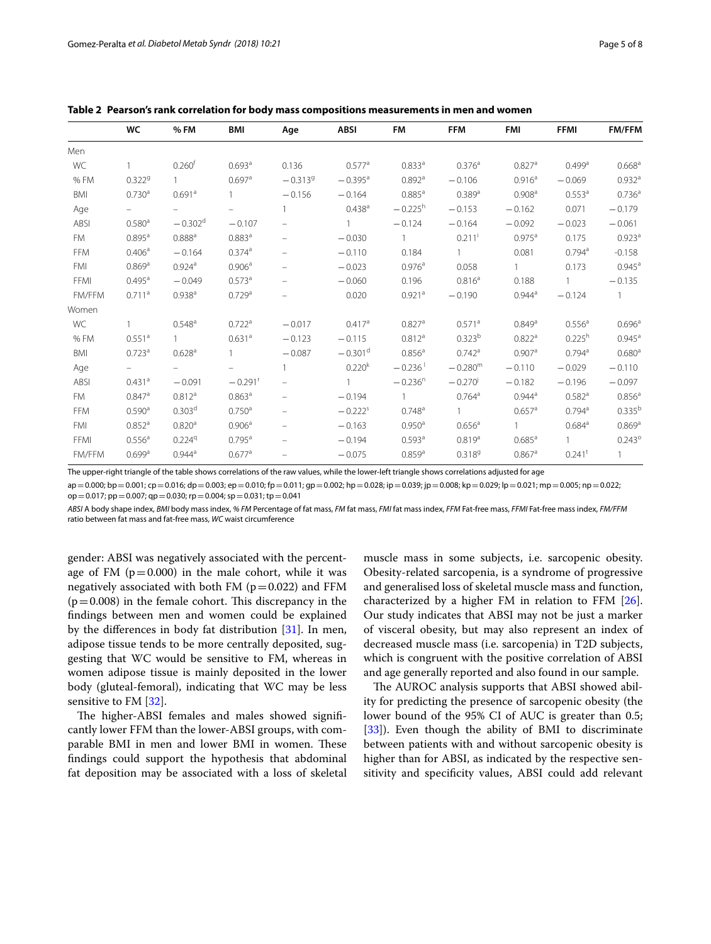|             | WC                   | % FM                 | BMI                      | Age                      | <b>ABSI</b>           | <b>FM</b>            | <b>FFM</b>           | <b>FMI</b>           | <b>FFMI</b>          | <b>FM/FFM</b>        |
|-------------|----------------------|----------------------|--------------------------|--------------------------|-----------------------|----------------------|----------------------|----------------------|----------------------|----------------------|
| Men         |                      |                      |                          |                          |                       |                      |                      |                      |                      |                      |
| WC          |                      | 0.260 <sup>†</sup>   | 0.693 <sup>a</sup>       | 0.136                    | 0.577 <sup>a</sup>    | 0.833a               | 0.376a               | $0.827$ <sup>a</sup> | $0.499$ <sup>a</sup> | $0.668$ <sup>a</sup> |
| % FM        | 0.3229               | $\mathbf{1}$         | $0.697$ <sup>a</sup>     | $-0.3139$                | $-0.395^{\circ}$      | $0.892$ <sup>a</sup> | $-0.106$             | 0.916 <sup>a</sup>   | $-0.069$             | $0.932$ <sup>a</sup> |
| <b>BMI</b>  | 0.730 <sup>a</sup>   | 0.691 <sup>a</sup>   |                          | $-0.156$                 | $-0.164$              | $0.885^{\text{a}}$   | $0.389$ <sup>a</sup> | 0.908 <sup>a</sup>   | 0.553 <sup>a</sup>   | $0.736^{a}$          |
| Age         | $\frac{1}{2}$        |                      | $\overline{\phantom{0}}$ |                          | $0.438^{a}$           | $-0.225h$            | $-0.153$             | $-0.162$             | 0.071                | $-0.179$             |
| <b>ABSI</b> | 0.580 <sup>a</sup>   | $-0.302d$            | $-0.107$                 | $\qquad \qquad -$        | $\mathbf{1}$          | $-0.124$             | $-0.164$             | $-0.092$             | $-0.023$             | $-0.061$             |
| <b>FM</b>   | $0.895^{\text{a}}$   | $0.888^{a}$          | 0.883 <sup>a</sup>       | $\qquad \qquad -$        | $-0.030$              | $\mathbf{1}$         | $0.211$ <sup>i</sup> | $0.975^a$            | 0.175                | $0.923$ <sup>a</sup> |
| FFM         | $0.406^{\text{a}}$   | $-0.164$             | $0.374$ <sup>a</sup>     | $\qquad \qquad -$        | $-0.110$              | 0.184                |                      | 0.081                | $0.794$ <sup>a</sup> | $-0.158$             |
| <b>FMI</b>  | 0.869a               | 0.924a               | 0.906 <sup>a</sup>       | $\overline{\phantom{m}}$ | $-0.023$              | 0.976 <sup>a</sup>   | 0.058                | $\mathbf{1}$         | 0.173                | $0.945^{\text{a}}$   |
| FFMI        | $0.495^{\text{a}}$   | $-0.049$             | 0.573 <sup>a</sup>       | $\overline{\phantom{m}}$ | $-0.060$              | 0.196                | 0.816 <sup>a</sup>   | 0.188                |                      | $-0.135$             |
| FM/FFM      | $0.711$ <sup>a</sup> | 0.938 <sup>a</sup>   | 0.729 <sup>a</sup>       | $\overline{\phantom{m}}$ | 0.020                 | $0.921$ <sup>a</sup> | $-0.190$             | $0.944^{\text{a}}$   | $-0.124$             | $\overline{1}$       |
| Women       |                      |                      |                          |                          |                       |                      |                      |                      |                      |                      |
| WC          |                      | $0.548$ <sup>a</sup> | $0.722$ <sup>a</sup>     | $-0.017$                 | 0.417a                | $0.827$ <sup>a</sup> | 0.571a               | 0.849a               | 0.556 <sup>a</sup>   | 0.696 <sup>a</sup>   |
| % FM        | 0.551 <sup>a</sup>   | $\mathbf{1}$         | 0.631 <sup>a</sup>       | $-0.123$                 | $-0.115$              | 0.812 <sup>a</sup>   | 0.323 <sup>b</sup>   | $0.822$ <sup>a</sup> | $0.225^{h}$          | $0.945^{\text{a}}$   |
| <b>BMI</b>  | $0.723$ <sup>a</sup> | $0.628$ <sup>a</sup> | $\mathbf{1}$             | $-0.087$                 | $-0.301$ <sup>d</sup> | $0.856^{\circ}$      | $0.742$ <sup>a</sup> | $0.907$ <sup>a</sup> | $0.794$ <sup>a</sup> | 0.680 <sup>a</sup>   |
| Age         |                      |                      |                          | $\mathbf{1}$             | 0.220 <sup>k</sup>    | $-0.236$             | $-0.280m$            | $-0.110$             | $-0.029$             | $-0.110$             |
| <b>ABSI</b> | $0.431$ <sup>a</sup> | $-0.091$             | $-0.291$ <sup>r</sup>    | $\qquad \qquad -$        |                       | $-0.236n$            | $-0.270^{j}$         | $-0.182$             | $-0.196$             | $-0.097$             |
| <b>FM</b>   | $0.847$ <sup>a</sup> | 0.812 <sup>a</sup>   | $0.863^{\text{a}}$       | $\qquad \qquad -$        | $-0.194$              | $\mathbf{1}$         | $0.764$ <sup>a</sup> | $0.944^a$            | $0.582$ <sup>a</sup> | $0.856^{\text{a}}$   |
| FFM         | 0.590 <sup>a</sup>   | 0.303 <sup>d</sup>   | 0.750 <sup>a</sup>       | $\qquad \qquad -$        | $-0.222^s$            | $0.748$ <sup>a</sup> |                      | $0.657$ <sup>a</sup> | $0.794$ <sup>a</sup> | $0.335^{b}$          |
| <b>FMI</b>  | $0.852$ <sup>a</sup> | 0.820 <sup>a</sup>   | 0.906 <sup>a</sup>       | $\overline{\phantom{m}}$ | $-0.163$              | $0.950$ <sup>a</sup> | 0.656 <sup>a</sup>   | $\mathbf{1}$         | $0.684$ <sup>a</sup> | 0.869a               |
| FFMI        | 0.556 <sup>a</sup>   | 0.2249               | 0.795a                   |                          | $-0.194$              | $0.593$ <sup>a</sup> | 0.819a               | 0.685 <sup>a</sup>   |                      | $0.243^{\circ}$      |
| FM/FFM      | $0.699$ <sup>a</sup> | $0.944^{\text{a}}$   | $0.677$ <sup>a</sup>     |                          | $-0.075$              | $0.859$ <sup>a</sup> | 0.318 <sup>9</sup>   | $0.867$ <sup>a</sup> | $0.241$ <sup>t</sup> | $\mathbf{1}$         |

<span id="page-4-0"></span>**Table 2 Pearson's rank correlation for body mass compositions measurements in men and women**

The upper-right triangle of the table shows correlations of the raw values, while the lower-left triangle shows correlations adjusted for age

ap=0.000; bp=0.001; cp=0.016; dp=0.003; ep=0.010; fp=0.011; gp=0.002; hp=0.028; ip=0.039; jp=0.008; kp=0.029; lp=0.021; mp=0.005; np=0.022;  $op = 0.017$ ;  $pp = 0.007$ ;  $qp = 0.030$ ;  $rp = 0.004$ ;  $sp = 0.031$ ;  $tp = 0.041$ 

*ABSI* A body shape index, *BMI* body mass index, *% FM* Percentage of fat mass, *FM* fat mass, *FMI* fat mass index, *FFM* Fat-free mass, *FFMI* Fat-free mass index, *FM/FFM* ratio between fat mass and fat-free mass, *WC* waist circumference

gender: ABSI was negatively associated with the percentage of FM  $(p=0.000)$  in the male cohort, while it was negatively associated with both FM ( $p=0.022$ ) and FFM  $(p=0.008)$  in the female cohort. This discrepancy in the fndings between men and women could be explained by the diferences in body fat distribution [\[31\]](#page-7-19). In men, adipose tissue tends to be more centrally deposited, suggesting that WC would be sensitive to FM, whereas in women adipose tissue is mainly deposited in the lower body (gluteal-femoral), indicating that WC may be less sensitive to FM [\[32](#page-7-20)].

The higher-ABSI females and males showed significantly lower FFM than the lower-ABSI groups, with comparable BMI in men and lower BMI in women. These fndings could support the hypothesis that abdominal fat deposition may be associated with a loss of skeletal muscle mass in some subjects, i.e. sarcopenic obesity. Obesity-related sarcopenia, is a syndrome of progressive and generalised loss of skeletal muscle mass and function, characterized by a higher FM in relation to FFM [\[26](#page-7-14)]. Our study indicates that ABSI may not be just a marker of visceral obesity, but may also represent an index of decreased muscle mass (i.e. sarcopenia) in T2D subjects, which is congruent with the positive correlation of ABSI and age generally reported and also found in our sample.

The AUROC analysis supports that ABSI showed ability for predicting the presence of sarcopenic obesity (the lower bound of the 95% CI of AUC is greater than 0.5; [[33\]](#page-7-21)). Even though the ability of BMI to discriminate between patients with and without sarcopenic obesity is higher than for ABSI, as indicated by the respective sensitivity and specifcity values, ABSI could add relevant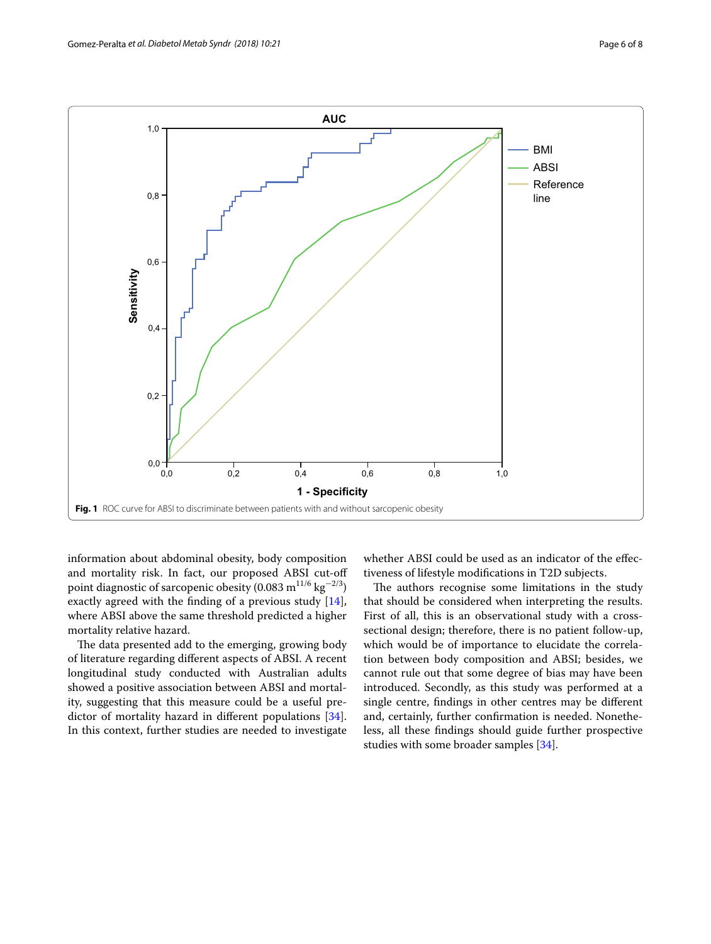

<span id="page-5-0"></span>information about abdominal obesity, body composition and mortality risk. In fact, our proposed ABSI cut-of point diagnostic of sarcopenic obesity (0.083 m<sup>11/6</sup> kg<sup>-2/3</sup>) exactly agreed with the fnding of a previous study [\[14](#page-7-2)], where ABSI above the same threshold predicted a higher mortality relative hazard.

The data presented add to the emerging, growing body of literature regarding diferent aspects of ABSI. A recent longitudinal study conducted with Australian adults showed a positive association between ABSI and mortality, suggesting that this measure could be a useful predictor of mortality hazard in diferent populations [\[34](#page-7-22)]. In this context, further studies are needed to investigate whether ABSI could be used as an indicator of the efectiveness of lifestyle modifcations in T2D subjects.

The authors recognise some limitations in the study that should be considered when interpreting the results. First of all, this is an observational study with a crosssectional design; therefore, there is no patient follow-up, which would be of importance to elucidate the correlation between body composition and ABSI; besides, we cannot rule out that some degree of bias may have been introduced. Secondly, as this study was performed at a single centre, fndings in other centres may be diferent and, certainly, further confrmation is needed. Nonetheless, all these fndings should guide further prospective studies with some broader samples [\[34](#page-7-22)].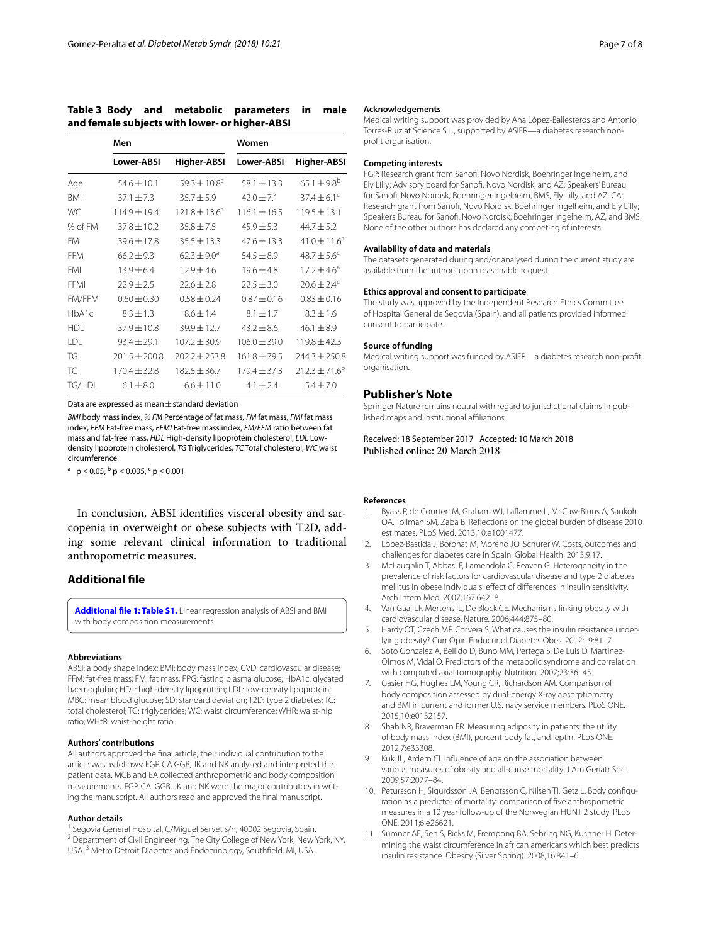<span id="page-6-10"></span>

|                                                |  |  |  | Table 3 Body and metabolic parameters in male |  |  |
|------------------------------------------------|--|--|--|-----------------------------------------------|--|--|
| and female subjects with lower- or higher-ABSI |  |  |  |                                               |  |  |

|            | Men               |                    | Women            |                        |  |  |  |
|------------|-------------------|--------------------|------------------|------------------------|--|--|--|
|            | <b>Lower-ABSI</b> | Higher-ABSI        | Lower-ABSI       | Higher-ABSI            |  |  |  |
| Age        | $54.6 \pm 10.1$   | $59.3 + 10.8^a$    | $58.1 \pm 13.3$  | $65.1 \pm 9.8^{b}$     |  |  |  |
| <b>BMI</b> | $37.1 \pm 7.3$    | $35.7 \pm 5.9$     | $42.0 \pm 7.1$   | $37.4 \pm 6.1^{\circ}$ |  |  |  |
| WC.        | $114.9 + 19.4$    | $121.8 \pm 13.6^a$ | $116.1 \pm 16.5$ | $119.5 + 13.1$         |  |  |  |
| % of FM    | $37.8 + 10.2$     | $35.8 \pm 7.5$     | $45.9 \pm 5.3$   | $44.7 \pm 5.2$         |  |  |  |
| FM         | $39.6 \pm 17.8$   | $35.5 \pm 13.3$    | $47.6 \pm 13.3$  | $41.0 \pm 11.6^a$      |  |  |  |
| <b>FFM</b> | $66.2 \pm 9.3$    | $62.3 \pm 9.0^a$   | $54.5 \pm 8.9$   | $48.7 \pm 5.6^{\circ}$ |  |  |  |
| <b>FMI</b> | $13.9 \pm 6.4$    | $12.9 + 4.6$       | $19.6 + 4.8$     | $17.2 \pm 4.6^a$       |  |  |  |
| FFMI       | $22.9 \pm 2.5$    | $22.6 \pm 2.8$     | $22.5 \pm 3.0$   | $20.6 \pm 2.4^c$       |  |  |  |
| FM/FFM     | $0.60 \pm 0.30$   | $0.58 + 0.24$      | $0.87 + 0.16$    | $0.83 \pm 0.16$        |  |  |  |
| HbA1c      | $8.3 \pm 1.3$     | $8.6 \pm 1.4$      | $8.1 + 1.7$      | $8.3 \pm 1.6$          |  |  |  |
| <b>HDL</b> | $37.9 \pm 10.8$   | $39.9 \pm 12.7$    | $43.2 \pm 8.6$   | $46.1 \pm 8.9$         |  |  |  |
| I DI       | $93.4 \pm 29.1$   | $107.2 + 30.9$     | $106.0 + 39.0$   | $119.8 \pm 42.3$       |  |  |  |
| <b>TG</b>  | $201.5 \pm 200.8$ | $202.2 \pm 253.8$  | $161.8 + 79.5$   | $244.3 \pm 250.8$      |  |  |  |
| TC         | $170.4 \pm 32.8$  | $182.5 \pm 36.7$   | $179.4 \pm 37.3$ | $212.3 \pm 71.6^b$     |  |  |  |
| TG/HDL     | $6.1 \pm 8.0$     | $6.6 \pm 11.0$     | $4.1 + 2.4$      | $5.4 \pm 7.0$          |  |  |  |

Data are expressed as mean $\pm$ standard deviation

*BMI* body mass index, *% FM* Percentage of fat mass, *FM* fat mass, *FMI* fat mass index, *FFM* Fat-free mass, *FFMI* Fat-free mass index, *FM/FFM* ratio between fat mass and fat-free mass, *HDL* High-density lipoprotein cholesterol, *LDL* Lowdensity lipoprotein cholesterol, *TG* Triglycerides, *TC* Total cholesterol, *WC* waist circumference

<sup>a</sup> p ≤ 0.05, <sup>b</sup> p ≤ 0.005, <sup>c</sup> p ≤ 0.001

In conclusion, ABSI identifes visceral obesity and sarcopenia in overweight or obese subjects with T2D, adding some relevant clinical information to traditional anthropometric measures.

# **Additional fle**

<span id="page-6-11"></span>**[Additional fle](https://doi.org/10.1186/s13098-018-0323-8) 1: Table S1.** Linear regression analysis of ABSI and BMI with body composition measurements.

#### **Abbreviations**

ABSI: a body shape index; BMI: body mass index; CVD: cardiovascular disease; FFM: fat-free mass; FM: fat mass; FPG: fasting plasma glucose; HbA1c: glycated haemoglobin; HDL: high-density lipoprotein; LDL: low-density lipoprotein; MBG: mean blood glucose; SD: standard deviation; T2D: type 2 diabetes; TC: total cholesterol; TG: triglycerides; WC: waist circumference; WHR: waist-hip ratio; WHtR: waist-height ratio.

## **Authors' contributions**

All authors approved the fnal article; their individual contribution to the article was as follows: FGP, CA GGB, JK and NK analysed and interpreted the patient data. MCB and EA collected anthropometric and body composition measurements. FGP, CA, GGB, JK and NK were the major contributors in writing the manuscript. All authors read and approved the fnal manuscript.

## **Author details**

- <sup>1</sup> Segovia General Hospital, C/Miguel Servet s/n, 40002 Segovia, Spain.<br><sup>2</sup> Department of Civil Engineering, The City College of New York, New York, NY,
- USA. <sup>3</sup> Metro Detroit Diabetes and Endocrinology, Southfeld, MI, USA.

#### **Acknowledgements**

Medical writing support was provided by Ana López-Ballesteros and Antonio Torres-Ruiz at Science S.L., supported by ASIER—a diabetes research nonprofit organisation.

## **Competing interests**

FGP: Research grant from Sanof, Novo Nordisk, Boehringer Ingelheim, and Ely Lilly; Advisory board for Sanof, Novo Nordisk, and AZ; Speakers' Bureau for Sanof, Novo Nordisk, Boehringer Ingelheim, BMS, Ely Lilly, and AZ. CA: Research grant from Sanof, Novo Nordisk, Boehringer Ingelheim, and Ely Lilly; Speakers' Bureau for Sanof, Novo Nordisk, Boehringer Ingelheim, AZ, and BMS. None of the other authors has declared any competing of interests.

#### **Availability of data and materials**

The datasets generated during and/or analysed during the current study are available from the authors upon reasonable request.

#### **Ethics approval and consent to participate**

The study was approved by the Independent Research Ethics Committee of Hospital General de Segovia (Spain), and all patients provided informed consent to participate.

#### **Source of funding**

Medical writing support was funded by ASIER—a diabetes research non-proft organisation.

## **Publisher's Note**

Springer Nature remains neutral with regard to jurisdictional claims in published maps and institutional afliations.

Received: 18 September 2017 Accepted: 10 March 2018 Published online: 20 March 2018

# **References**

- <span id="page-6-0"></span>1. Byass P, de Courten M, Graham WJ, Lafamme L, McCaw-Binns A, Sankoh OA, Tollman SM, Zaba B. Refections on the global burden of disease 2010 estimates. PLoS Med. 2013;10:e1001477.
- <span id="page-6-1"></span>2. Lopez-Bastida J, Boronat M, Moreno JO, Schurer W. Costs, outcomes and challenges for diabetes care in Spain. Global Health. 2013;9:17.
- <span id="page-6-2"></span>3. McLaughlin T, Abbasi F, Lamendola C, Reaven G. Heterogeneity in the prevalence of risk factors for cardiovascular disease and type 2 diabetes mellitus in obese individuals: efect of diferences in insulin sensitivity. Arch Intern Med. 2007;167:642–8.
- <span id="page-6-3"></span>4. Van Gaal LF, Mertens IL, De Block CE. Mechanisms linking obesity with cardiovascular disease. Nature. 2006;444:875–80.
- <span id="page-6-4"></span>5. Hardy OT, Czech MP, Corvera S. What causes the insulin resistance underlying obesity? Curr Opin Endocrinol Diabetes Obes. 2012;19:81–7.
- <span id="page-6-5"></span>6. Soto Gonzalez A, Bellido D, Buno MM, Pertega S, De Luis D, Martinez-Olmos M, Vidal O. Predictors of the metabolic syndrome and correlation with computed axial tomography. Nutrition. 2007;23:36–45.
- <span id="page-6-6"></span>7. Gasier HG, Hughes LM, Young CR, Richardson AM. Comparison of body composition assessed by dual-energy X-ray absorptiometry and BMI in current and former U.S. navy service members. PLoS ONE. 2015;10:e0132157.
- <span id="page-6-7"></span>8. Shah NR, Braverman ER. Measuring adiposity in patients: the utility of body mass index (BMI), percent body fat, and leptin. PLoS ONE. 2012;7:e33308.
- <span id="page-6-8"></span>9. Kuk JL, Ardern CI. Infuence of age on the association between various measures of obesity and all-cause mortality. J Am Geriatr Soc. 2009;57:2077–84.
- 10. Petursson H, Sigurdsson JA, Bengtsson C, Nilsen TI, Getz L. Body configuration as a predictor of mortality: comparison of fve anthropometric measures in a 12 year follow-up of the Norwegian HUNT 2 study. PLoS ONE. 2011;6:e26621.
- <span id="page-6-9"></span>11. Sumner AE, Sen S, Ricks M, Frempong BA, Sebring NG, Kushner H. Determining the waist circumference in african americans which best predicts insulin resistance. Obesity (Silver Spring). 2008;16:841–6.